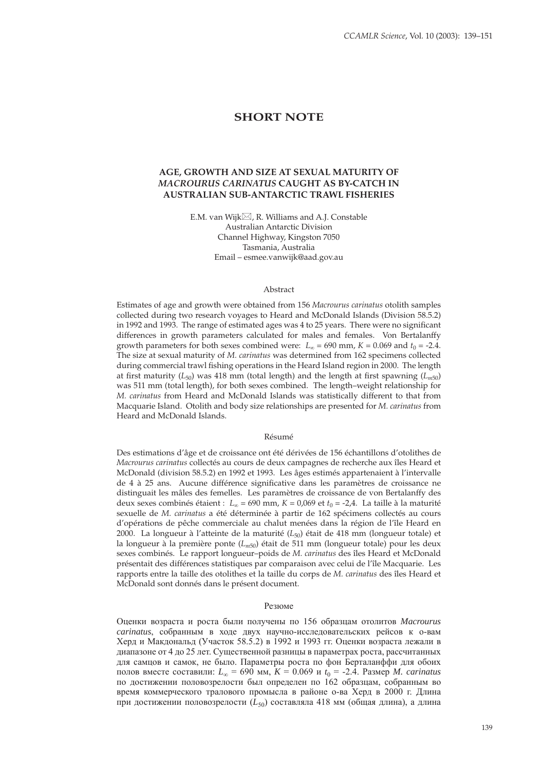# **SHORT NOTE**

## **AGE, GROWTH AND SIZE AT SEXUAL MATURITY OF**  *MACROURUS CARINATUS* **CAUGHT AS BY-CATCH IN AUSTRALIAN SUB-ANTARCTIC TRAWL FISHERIES**

E.M. van Wijk⊠, R. Williams and A.J. Constable Australian Antarctic Division Channel Highway, Kingston 7050 Tasmania, Australia Email – esmee.vanwijk@aad.gov.au

#### Abstract

Estimates of age and growth were obtained from 156 *Macrourus carinatus* otolith samples collected during two research voyages to Heard and McDonald Islands (Division 58.5.2) in 1992 and 1993. The range of estimated ages was 4 to 25 years. There were no significant differences in growth parameters calculated for males and females. Von Bertalanffy growth parameters for both sexes combined were:  $L_{\infty}$  = 690 mm,  $K$  = 0.069 and  $t_0$  = -2.4. The size at sexual maturity of *M. carinatus* was determined from 162 specimens collected during commercial trawl fishing operations in the Heard Island region in 2000. The length at first maturity  $(L_{50})$  was 418 mm (total length) and the length at first spawning  $(L_{m50})$ was 511 mm (total length), for both sexes combined. The length–weight relationship for *M. carinatus* from Heard and McDonald Islands was statistically different to that from Macquarie Island. Otolith and body size relationships are presented for *M. carinatus* from Heard and McDonald Islands.

## Résumé

Des estimations d'âge et de croissance ont été dérivées de 156 échantillons d'otolithes de *Macrourus carinatus* collectés au cours de deux campagnes de recherche aux îles Heard et McDonald (division 58.5.2) en 1992 et 1993. Les âges estimés appartenaient à l'intervalle de 4 à 25 ans. Aucune différence significative dans les paramètres de croissance ne distinguait les mâles des femelles. Les paramètres de croissance de von Bertalanffy des deux sexes combinés étaient : *L*∞ = 690 mm, *K* = 0,069 et *t*0 = -2,4. La taille à la maturité sexuelle de *M. carinatus* a été déterminée à partir de 162 spécimens collectés au cours d'opérations de pêche commerciale au chalut menées dans la région de l'île Heard en 2000. La longueur à l'atteinte de la maturité (*L*50) était de 418 mm (longueur totale) et la longueur à la première ponte (*Lm*50) était de 511 mm (longueur totale) pour les deux sexes combinés. Le rapport longueur–poids de *M. carinatus* des îles Heard et McDonald présentait des différences statistiques par comparaison avec celui de l'île Macquarie. Les rapports entre la taille des otolithes et la taille du corps de *M. carinatus* des îles Heard et McDonald sont donnés dans le présent document.

### Резюме

Оценки возраста и роста были получены по 156 образцам отолитов *Macrourus carinatus*, собранным в ходе двух научно-исследовательских рейсов к о-вам Херд и Макдональд (Участок 58.5.2) в 1992 и 1993 гг. Оценки возраста лежали в диапазоне от 4 до 25 лет. Существенной разницы в параметрах роста, рассчитанных для самцов и самок, не было. Параметры роста по фон Берталанффи для обоих полов вместе составили:  $L_{\infty}$  = 690 мм,  $K = 0.069$  и  $t_0$  = -2.4. Размер *M. carinatus* по достижении половозрелости был определен по 162 образцам, собранным во время коммерческого тралового промысла в районе о-ва Херд в 2000 г. Длина при достижении половозрелости (*L*50) составляла 418 мм (общая длина), а длина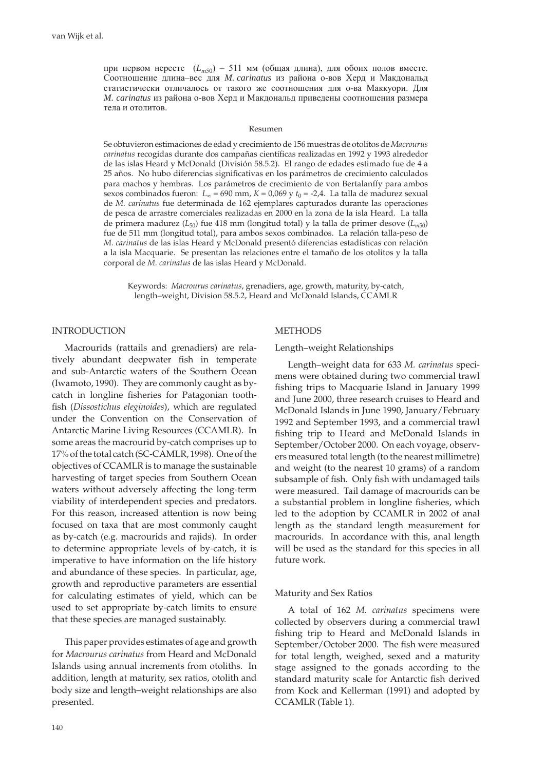при первом нересте (*Lm*50) – 511 мм (общая длина), для обоих полов вместе. Соотношение длина–вес для *M. carinatus* из района о-вов Херд и Макдональд статистически отличалось от такого же соотношения для о-ва Маккуори. Для *M. carinatus* из района о-вов Херд и Макдональд приведены соотношения размера тела и отолитов.

#### Resumen

Se obtuvieron estimaciones de edad y crecimiento de 156 muestras de otolitos de *Macrourus carinatus* recogidas durante dos campañas científicas realizadas en 1992 y 1993 alrededor de las islas Heard y McDonald (División 58.5.2). El rango de edades estimado fue de 4 a 25 años. No hubo diferencias significativas en los parámetros de crecimiento calculados para machos y hembras. Los parámetros de crecimiento de von Bertalanffy para ambos sexos combinados fueron:  $L_{\infty}$  = 690 mm,  $K = 0.069$  y  $t_0 = -2.4$ . La talla de madurez sexual de *M. carinatus* fue determinada de 162 ejemplares capturados durante las operaciones de pesca de arrastre comerciales realizadas en 2000 en la zona de la isla Heard. La talla de primera madurez (*L*50) fue 418 mm (longitud total) y la talla de primer desove (*Lm*50) fue de 511 mm (longitud total), para ambos sexos combinados. La relación talla-peso de *M. carinatus* de las islas Heard y McDonald presentó diferencias estadísticas con relación a la isla Macquarie. Se presentan las relaciones entre el tamaño de los otolitos y la talla corporal de *M. carinatus* de las islas Heard y McDonald.

Keywords: *Macrourus carinatus*, grenadiers, age, growth, maturity, by-catch, length–weight, Division 58.5.2, Heard and McDonald Islands, CCAMLR

#### INTRODUCTION

Macrourids (rattails and grenadiers) are rela tively abundant deepwater fish in temperate and sub-Antarctic waters of the Southern Ocean (Iwamoto, 1990). They are commonly caught as bycatch in longline fisheries for Patagonian toothfish (*Dissostichus eleginoides*), which are regulated under the Convention on the Conservation of Antarctic Marine Living Resources (CCAMLR). In some areas the macrourid by-catch comprises up to 17% of the total catch (SC-CAMLR, 1998). One of the objectives of CCAMLR is to manage the sustainable harvesting of target species from Southern Ocean waters without adversely affecting the long-term viability of interdependent species and predators. For this reason, increased attention is now being focused on taxa that are most commonly caught as by-catch (e.g. macrourids and rajids). In order to determine appropriate levels of by-catch, it is imperative to have information on the life history and abundance of these species. In particular, age, growth and reproductive parameters are essential for calculating estimates of yield, which can be used to set appropriate by-catch limits to ensure that these species are managed sustainably.

This paper provides estimates of age and growth for *Macrourus carinatus* from Heard and McDonald Islands using annual increments from otoliths. In addition, length at maturity, sex ratios, otolith and body size and length–weight relationships are also presented.

#### **METHODS**

#### Length–weight Relationships

Length–weight data for 633 *M. carinatus* specimens were obtained during two commercial trawl fishing trips to Macquarie Island in January 1999 and June 2000, three research cruises to Heard and McDonald Islands in June 1990, January/February 1992 and September 1993, and a commercial trawl fishing trip to Heard and McDonald Islands in September/October 2000. On each voyage, observers measured total length (to the nearest millimetre) and weight (to the nearest 10 grams) of a random subsample of fish. Only fish with undamaged tails were measured. Tail damage of macrourids can be a substantial problem in longline fisheries, which led to the adoption by CCAMLR in 2002 of anal length as the standard length measurement for macrourids. In accordance with this, anal length will be used as the standard for this species in all future work.

#### Maturity and Sex Ratios

A total of 162 *M. carinatus* specimens were collected by observers during a commercial trawl fishing trip to Heard and McDonald Islands in September/October 2000. The fish were measured for total length, weighed, sexed and a maturity stage assigned to the gonads according to the standard maturity scale for Antarctic fish derived from Kock and Kellerman (1991) and adopted by CCAMLR (Table 1).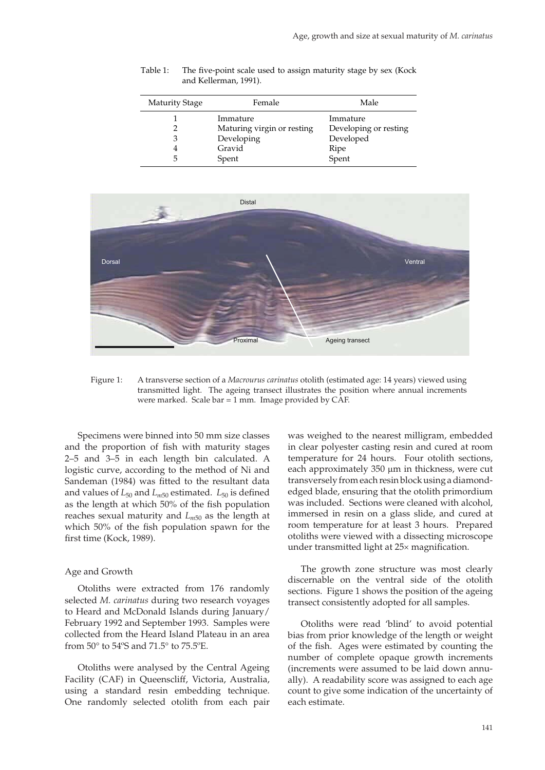| <b>Maturity Stage</b> | Female                     | Male                  |  |
|-----------------------|----------------------------|-----------------------|--|
|                       | Immature                   | Immature              |  |
|                       | Maturing virgin or resting | Developing or resting |  |
| 3                     | Developing                 | Developed             |  |
|                       | Gravid                     | Ripe                  |  |
| 5.                    | Spent                      | Spent                 |  |

Table 1: The five-point scale used to assign maturity stage by sex (Kock and Kellerman, 1991).



Figure 1: A transverse section of a *Macrourus carinatus* otolith (estimated age: 14 years) viewed using transmitted light. The ageing transect illustrates the position where annual increments were marked. Scale bar = 1 mm. Image provided by CAF.

Specimens were binned into 50 mm size classes and the proportion of fish with maturity stages 2–5 and 3–5 in each length bin calculated. A logistic curve, according to the method of Ni and Sandeman (1984) was fitted to the resultant data and values of  $L_{50}$  and  $L_{m50}$  estimated.  $L_{50}$  is defined as the length at which 50% of the fish population reaches sexual maturity and *Lm*50 as the length at which  $50\%$  of the fish population spawn for the first time (Kock, 1989).

## Age and Growth

Otoliths were extracted from 176 randomly selected *M. carinatus* during two research voyages to Heard and McDonald Islands during January/ February 1992 and September 1993. Samples were collected from the Heard Island Plateau in an area from 50° to 54ºS and 71.5° to 75.5ºE.

Otoliths were analysed by the Central Ageing Facility (CAF) in Queenscliff, Victoria, Australia, using a standard resin embedding technique. One randomly selected otolith from each pair was weighed to the nearest milligram, embedded in clear polyester casting resin and cured at room temperature for 24 hours. Four otolith sections, each approximately 350 μm in thickness, were cut transversely from each resin block using a diamondedged blade, ensuring that the otolith primordium was included. Sections were cleaned with alcohol, immersed in resin on a glass slide, and cured at room temperature for at least 3 hours. Prepared otoliths were viewed with a dissecting microscope under transmitted light at 25× magnification.

The growth zone structure was most clearly discernable on the ventral side of the otolith sections. Figure 1 shows the position of the ageing transect consistently adopted for all samples.

Otoliths were read 'blind' to avoid potential bias from prior knowledge of the length or weight of the fish. Ages were estimated by counting the number of complete opaque growth increments (increments were assumed to be laid down annually). A readability score was assigned to each age count to give some indication of the uncertainty of each estimate.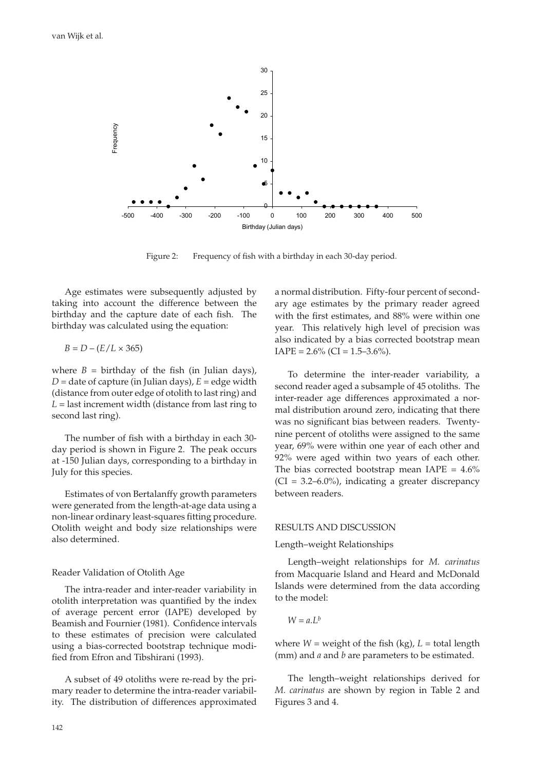

Figure 2: Frequency of fish with a birthday in each 30-day period.

Age estimates were subsequently adjusted by taking into account the difference between the birthday and the capture date of each fish. The birthday was calculated using the equation:

$$
B = D - (E/L \times 365)
$$

where  $B =$  birthday of the fish (in Julian days), *D* = date of capture (in Julian days), *E* = edge width (distance from outer edge of otolith to last ring) and *L* = last increment width (distance from last ring to second last ring).

The number of fish with a birthday in each 30day period is shown in Figure 2. The peak occurs at -150 Julian days, corresponding to a birthday in July for this species.

Estimates of von Bertalanffy growth parameters were generated from the length-at-age data using a non-linear ordinary least-squares fitting procedure. Otolith weight and body size relationships were also determined.

### Reader Validation of Otolith Age

The intra-reader and inter-reader variability in otolith interpretation was quantified by the index of average percent error (IAPE) developed by Beamish and Fournier (1981). Confidence intervals to these estimates of precision were calculated using a bias-corrected bootstrap technique modified from Efron and Tibshirani (1993).

A subset of 49 otoliths were re-read by the primary reader to determine the intra-reader variability. The distribution of differences approximated a normal distribution. Fifty-four percent of secondary age estimates by the primary reader agreed with the first estimates, and 88% were within one year. This relatively high level of precision was also indicated by a bias corrected bootstrap mean  $IAPE = 2.6\%$  (CI = 1.5–3.6%).

To determine the inter-reader variability, a second reader aged a subsample of 45 otoliths. The inter-reader age differences approximated a normal distribution around zero, indicating that there was no significant bias between readers. Twentynine percent of otoliths were assigned to the same year, 69% were within one year of each other and 92% were aged within two years of each other. The bias corrected bootstrap mean IAPE =  $4.6\%$  $(CI = 3.2 - 6.0\%)$ , indicating a greater discrepancy between readers.

## RESULTS AND DISCUSSION

## Length–weight Relationships

Length–weight relationships for *M. carinatus*  from Macquarie Island and Heard and McDonald Islands were determined from the data according to the model:

$$
W = a.L^b
$$

where  $W$  = weight of the fish (kg),  $L$  = total length (mm) and *a* and *b* are parameters to be estimated.

The length–weight relationships derived for *M. carinatus* are shown by region in Table 2 and Figures 3 and 4.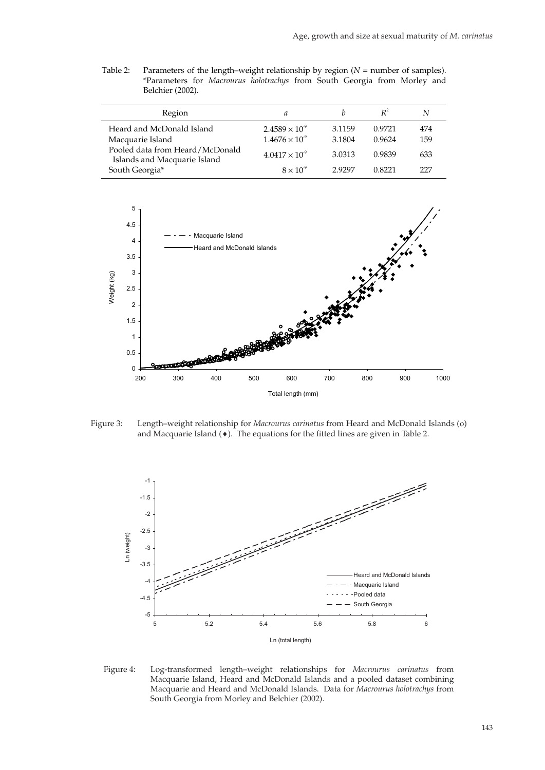Table 2: Parameters of the length–weight relationship by region (*N* = number of samples). \*Parameters for *Macrourus holotrachys* from South Georgia from Morley and Belchier (2002).

| Region                                                          | a                                                  | h                | $R^2$            | N          |
|-----------------------------------------------------------------|----------------------------------------------------|------------------|------------------|------------|
| Heard and McDonald Island<br>Macquarie Island                   | $2.4589 \times 10^{-9}$<br>$1.4676 \times 10^{-9}$ | 3.1159<br>3.1804 | 0.9721<br>0.9624 | 474<br>159 |
| Pooled data from Heard/McDonald<br>Islands and Macquarie Island | $4.0417 \times 10^{-9}$                            | 3.0313           | 0.9839           | 633        |
| South Georgia*                                                  | $8 \times 10^{-9}$                                 | 29297            | 0.8221           | 227        |



Figure 3: Length–weight relationship for *Macrourus carinatus* from Heard and McDonald Islands (ο) and Macquarie Island  $(•)$ . The equations for the fitted lines are given in Table 2.



Figure 4: Log-transformed length–weight relationships for *Macrourus carinatus* from Macquarie Island, Heard and McDonald Islands and a pooled dataset combining Macquarie and Heard and McDonald Islands. Data for *Macrourus holotrachys* from South Georgia from Morley and Belchier (2002).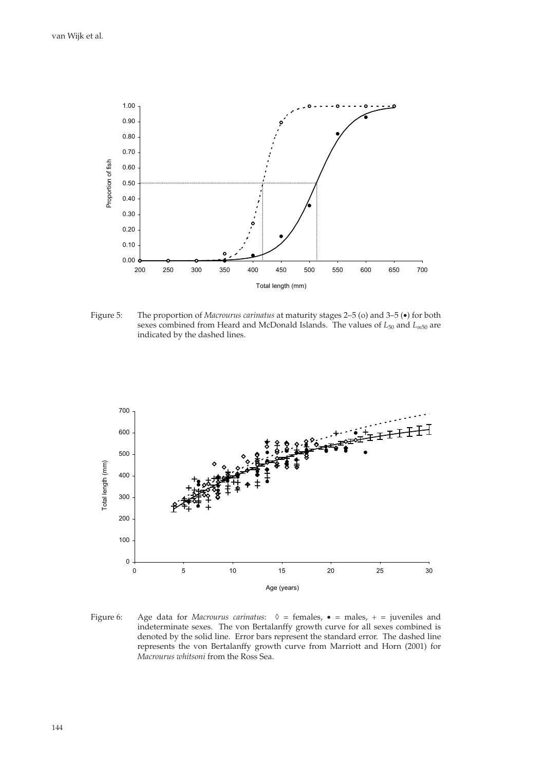

Figure 5: The proportion of *Macrourus carinatus* at maturity stages 2–5 (ο) and 3–5 (•) for both sexes combined from Heard and McDonald Islands. The values of  $L_{50}$  and  $L_{m50}$  are indicated by the dashed lines.



Figure 6: Age data for *Macrourus carinatus*:  $\Diamond$  = females,  $\bullet$  = males, + = juveniles and indeterminate sexes. The von Bertalanffy growth curve for all sexes combined is denoted by the solid line. Error bars represent the standard error. The dashed line represents the von Bertalanffy growth curve from Marriott and Horn (2001) for *Macrourus whitsoni* from the Ross Sea.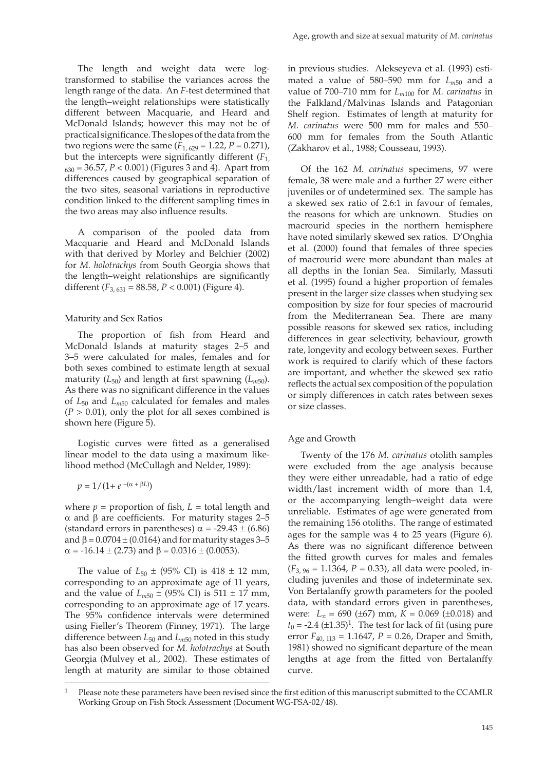The length and weight data were logtransformed to stabilise the variances across the length range of the data. An *F*-test determined that the length–weight relationships were statistically different between Macquarie, and Heard and McDonald Islands; however this may not be of practical significance. The slopes of the data from the two regions were the same  $(F_{1, 629} = 1.22, P = 0.271)$ , but the intercepts were significantly different  $(F_1)$ ,  $_{630}$  = 36.57, *P* < 0.001) (Figures 3 and 4). Apart from differences caused by geographical separation of the two sites, seasonal variations in reproductive condition linked to the different sampling times in the two areas may also influence results.

A comparison of the pooled data from Macquarie and Heard and McDonald Islands with that derived by Morley and Belchier (2002) for *M. holotrachys* from South Georgia shows that the length–weight relationships are significantly different  $(F_{3, 631} = 88.58, P < 0.001)$  (Figure 4).

## Maturity and Sex Ratios

The proportion of fish from Heard and McDonald Islands at maturity stages 2–5 and 3–5 were calculated for males, females and for both sexes combined to estimate length at sexual maturity  $(L_{50})$  and length at first spawning  $(L_{m50})$ . As there was no significant difference in the values of *L*50 and *Lm*50 calculated for females and males  $(P > 0.01)$ , only the plot for all sexes combined is shown here (Figure 5).

Logistic curves were fitted as a generalised linear model to the data using a maximum likelihood method (McCullagh and Nelder, 1989):

$$
p = 1/(1 + e^{-(\alpha + \beta L)})
$$

where  $p =$  proportion of fish,  $L =$  total length and α and β are coefficients. For maturity stages  $2-5$ (standard errors in parentheses)  $\alpha$  = -29.43 ± (6.86) and  $\beta$  = 0.0704 ± (0.0164) and for maturity stages 3–5  $\alpha$  = -16.14 ± (2.73) and  $\beta$  = 0.0316 ± (0.0053).

The value of  $L_{50} \pm (95\% \text{ CI})$  is  $418 \pm 12 \text{ mm}$ , corresponding to an approximate age of 11 years, and the value of  $L_{m50} \pm (95\% \text{ CI})$  is 511  $\pm$  17 mm, corresponding to an approximate age of 17 years. The 95% confidence intervals were determined using Fieller's Theorem (Finney, 1971). The large difference between  $L_{50}$  and  $L_{m50}$  noted in this study has also been observed for *M. holotrachys* at South Georgia (Mulvey et al., 2002). These estimates of length at maturity are similar to those obtained

\_\_\_\_\_\_\_\_\_\_\_\_\_\_\_\_\_\_\_\_\_\_\_\_\_\_\_\_\_\_\_\_\_\_\_\_\_\_\_\_\_\_\_\_\_\_\_\_\_\_\_\_\_\_\_\_\_\_\_\_\_\_\_\_\_\_\_\_\_\_\_

in previous studies. Alekseyeva et al. (1993) estimated a value of 580–590 mm for  $L_{m50}$  and a value of 700–710 mm for  $L_{m100}$  for *M. carinatus* in the Falkland/Malvinas Islands and Patagonian Shelf region. Estimates of length at maturity for *M. carinatus* were 500 mm for males and 550– 600 mm for females from the South Atlantic (Zakharov et al., 1988; Cousseau, 1993).

Of the 162 *M. carinatus* specimens, 97 were female, 38 were male and a further 27 were either juveniles or of undetermined sex. The sample has a skewed sex ratio of 2.6:1 in favour of females, the reasons for which are unknown. Studies on macrourid species in the northern hemisphere have noted similarly skewed sex ratios. D'Onghia et al. (2000) found that females of three species of macrourid were more abundant than males at all depths in the Ionian Sea. Similarly, Massuti et al. (1995) found a higher proportion of females present in the larger size classes when studying sex composition by size for four species of macrourid from the Mediterranean Sea. There are many possible reasons for skewed sex ratios, including differences in gear selectivity, behaviour, growth rate, longevity and ecology between sexes. Further work is required to clarify which of these factors are important, and whether the skewed sex ratio reflects the actual sex composition of the population or simply differences in catch rates between sexes or size classes.

## Age and Growth

Twenty of the 176 *M. carinatus* otolith samples were excluded from the age analysis because they were either unreadable, had a ratio of edge width/last increment width of more than 1.4, or the accompanying length–weight data were unreliable. Estimates of age were generated from the remaining 156 otoliths. The range of estimated ages for the sample was 4 to 25 years (Figure 6). As there was no significant difference between the fitted growth curves for males and females  $(F_{3, 96} = 1.1364, P = 0.33)$ , all data were pooled, including juveniles and those of indeterminate sex. Von Bertalanffy growth parameters for the pooled data, with standard errors given in parentheses, were: *L*<sup>∞</sup> = 690 (±67) mm, *K* = 0.069 (±0.018) and  $t_0$  = -2.4 ( $\pm$ 1.35)<sup>1</sup>. The test for lack of fit (using pure error *F*40, 113 = 1.1647, *P* = 0.26, Draper and Smith, 1981) showed no significant departure of the mean lengths at age from the fitted von Bertalanffy curve.

Please note these parameters have been revised since the first edition of this manuscript submitted to the CCAMLR Working Group on Fish Stock Assessment (Document WG-FSA-02/48).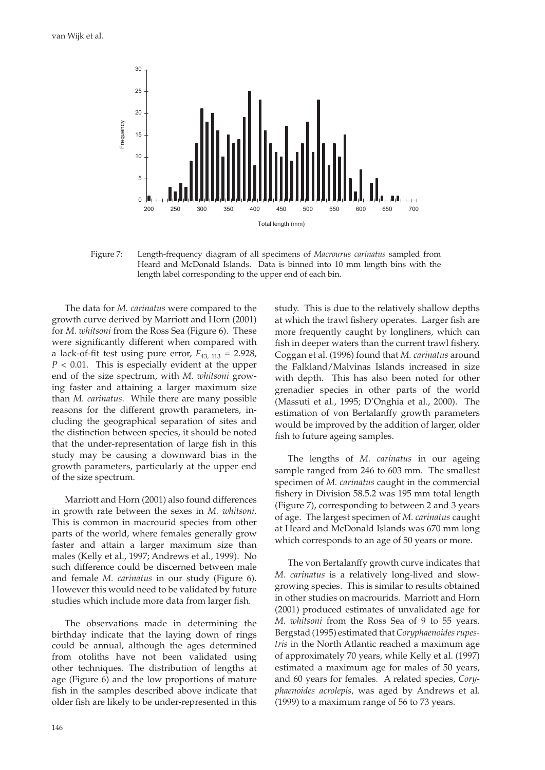

Figure 7: Length-frequency diagram of all specimens of *Macrourus carinatus* sampled from Heard and McDonald Islands. Data is binned into 10 mm length bins with the length label corresponding to the upper end of each bin.

The data for *M. carinatus* were compared to the growth curve derived by Marriott and Horn (2001) for *M. whitsoni* from the Ross Sea (Figure 6). These were significantly different when compared with a lack-of-fit test using pure error,  $F_{43, 113} = 2.928$ , *P* < 0.01. This is especially evident at the upper end of the size spectrum, with *M. whitsoni* growing faster and attaining a larger maximum size than *M. carinatus*. While there are many possible reasons for the different growth parameters, including the geographical separation of sites and the distinction between species, it should be noted that the under-representation of large fish in this study may be causing a downward bias in the growth parameters, particularly at the upper end of the size spectrum.

Marriott and Horn (2001) also found differences in growth rate between the sexes in *M. whitsoni*. This is common in macrourid species from other parts of the world, where females generally grow faster and attain a larger maximum size than males (Kelly et al., 1997; Andrews et al., 1999). No such difference could be discerned between male and female *M. carinatus* in our study (Figure 6). However this would need to be validated by future studies which include more data from larger fish.

The observations made in determining the birthday indicate that the laying down of rings could be annual, although the ages determined from otoliths have not been validated using other techniques. The distribution of lengths at age (Figure 6) and the low proportions of mature fish in the samples described above indicate that older fish are likely to be under-represented in this

study. This is due to the relatively shallow depths at which the trawl fishery operates. Larger fish are more frequently caught by longliners, which can fish in deeper waters than the current trawl fishery. Coggan et al. (1996) found that *M. carinatus* around the Falkland/Malvinas Islands increased in size with depth. This has also been noted for other grenadier species in other parts of the world (Massuti et al., 1995; D'Onghia et al., 2000). The estimation of von Bertalanffy growth parameters would be improved by the addition of larger, older fish to future ageing samples.

The lengths of *M. carinatus* in our ageing sample ranged from 246 to 603 mm. The smallest specimen of *M. carinatus* caught in the commercial fishery in Division 58.5.2 was 195 mm total length (Figure 7), corresponding to between 2 and 3 years of age. The largest specimen of *M. carinatus* caught at Heard and McDonald Islands was 670 mm long which corresponds to an age of 50 years or more.

The von Bertalanffy growth curve indicates that *M. carinatus* is a relatively long-lived and slowgrowing species. This is similar to results obtained in other studies on macrourids. Marriott and Horn (2001) produced estimates of unvalidated age for *M. whitsoni* from the Ross Sea of 9 to 55 years. Bergstad (1995) estimated that *Coryphaenoides rupestris* in the North Atlantic reached a maximum age of approximately 70 years, while Kelly et al. (1997) estimated a maximum age for males of 50 years, and 60 years for females. A related species, *Coryphaenoides acrolepis*, was aged by Andrews et al. (1999) to a maximum range of 56 to 73 years.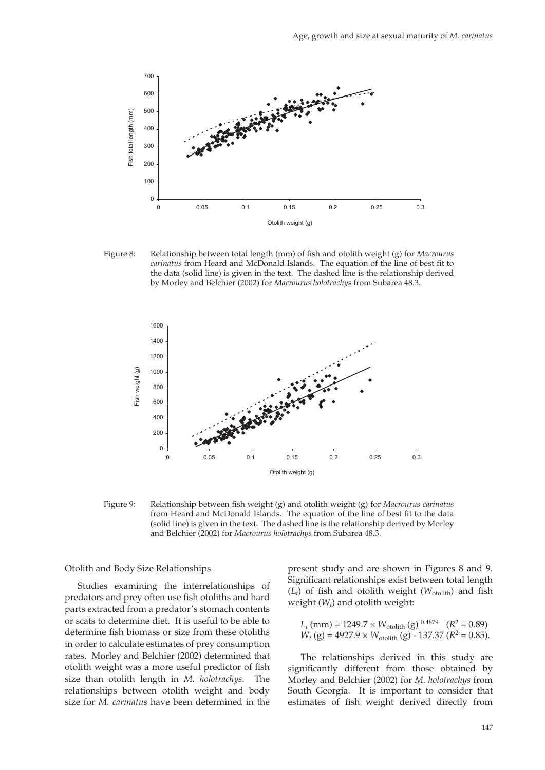

Figure 8: Relationship between total length (mm) of fish and otolith weight (g) for *Macrourus carinatus* from Heard and McDonald Islands. The equation of the line of best fit to the data (solid line) is given in the text. The dashed line is the relationship derived by Morley and Belchier (2002) for *Macrourus holotrachys* from Subarea 48.3.



Figure 9: Relationship between fish weight (g) and otolith weight (g) for *Macrourus carinatus* from Heard and McDonald Islands. The equation of the line of best fit to the data (solid line) is given in the text. The dashed line is the relationship derived by Morley and Belchier (2002) for *Macrourus holotrachys* from Subarea 48.3.

#### Otolith and Body Size Relationships

Studies examining the interrelationships of predators and prey often use fish otoliths and hard parts extracted from a predator's stomach contents or scats to determine diet. It is useful to be able to determine fish biomass or size from these otoliths in order to calculate estimates of prey consumption rates. Morley and Belchier (2002) determined that otolith weight was a more useful predictor of fish size than otolith length in *M. holotrachys*. The relationships between otolith weight and body size for *M. carinatus* have been determined in the present study and are shown in Figures 8 and 9. Significant relationships exist between total length  $(L_t)$  of fish and otolith weight ( $W_{\text{otolith}}$ ) and fish weight  $(W_t)$  and otolith weight:

$$
L_t \text{ (mm)} = 1249.7 \times W_{\text{otolith}} \text{ (g)}^{0.4879} \text{ (R}^2 = 0.89)
$$
  
 
$$
W_t \text{ (g)} = 4927.9 \times W_{\text{otolith}} \text{ (g)} - 137.37 \text{ (R}^2 = 0.85).
$$

The relationships derived in this study are significantly different from those obtained by Morley and Belchier (2002) for *M. holotrachys* from South Georgia. It is important to consider that estimates of fish weight derived directly from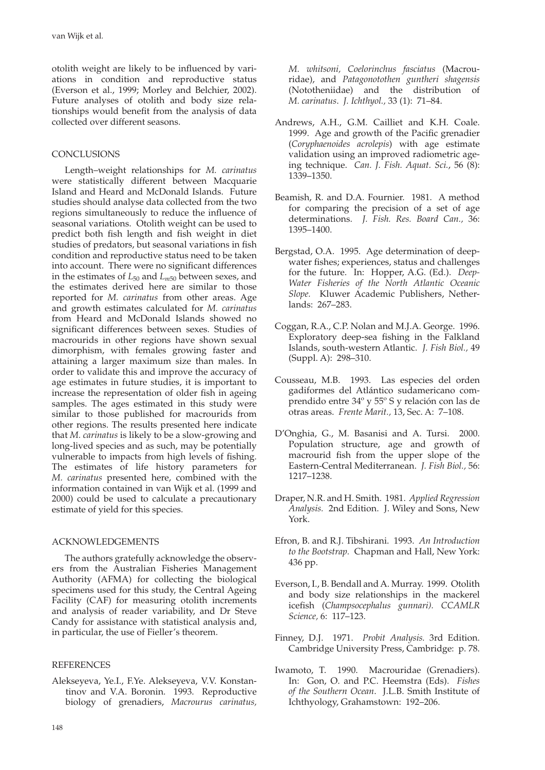otolith weight are likely to be influenced by variations in condition and reproductive status (Everson et al., 1999; Morley and Belchier, 2002). Future analyses of otolith and body size relationships would benefit from the analysis of data collected over different seasons.

## CONCLUSIONS

Length–weight relationships for *M. carinatus*  were statistically different between Macquarie Island and Heard and McDonald Islands. Future studies should analyse data collected from the two regions simultaneously to reduce the influence of seasonal variations. Otolith weight can be used to predict both fish length and fish weight in diet studies of predators, but seasonal variations in fish condition and reproductive status need to be taken into account. There were no significant differences in the estimates of  $L_{50}$  and  $L_{m50}$  between sexes, and the estimates derived here are similar to those reported for *M. carinatus* from other areas. Age and growth estimates calculated for *M. carinatus*  from Heard and McDonald Islands showed no significant differences between sexes. Studies of macrourids in other regions have shown sexual dimorphism, with females growing faster and attaining a larger maximum size than males. In order to validate this and improve the accuracy of age estimates in future studies, it is important to increase the representation of older fish in ageing samples. The ages estimated in this study were similar to those published for macrourids from other regions. The results presented here indicate that *M. carinatus* is likely to be a slow-growing and long-lived species and as such, may be potentially vulnerable to impacts from high levels of fishing. The estimates of life history parameters for *M. carinatus* presented here, combined with the information contained in van Wijk et al. (1999 and 2000) could be used to calculate a precautionary estimate of yield for this species.

## ACKNOWLEDGEMENTS

The authors gratefully acknowledge the observers from the Australian Fisheries Management Authority (AFMA) for collecting the biological specimens used for this study, the Central Ageing Facility (CAF) for measuring otolith increments and analysis of reader variability, and Dr Steve Candy for assistance with statistical analysis and, in particular, the use of Fieller's theorem.

## **REFERENCES**

Alekseyeva, Ye.I., F.Ye. Alekseyeva, V.V. Konstantinov and V.A. Boronin. 1993. Reproductive biology of grenadiers, *Macrourus carinatus,*  *M. whitsoni, Coelorinchus fasciatus* (Macrouridae), and *Patagonotothen guntheri shagensis* (Nototheniidae) and the distribution of *M. carinatus*. *J. Ichthyol.,* 33 (1): 71–84.

- Andrews, A.H., G.M. Cailliet and K.H. Coale. 1999. Age and growth of the Pacific grenadier (*Coryphaenoides acrolepis*) with age estimate validation using an improved radiometric ageing technique. *Can. J. Fish. Aquat. Sci.*, 56 (8): 1339–1350.
- Beamish, R. and D.A. Fournier. 1981. A method for comparing the precision of a set of age determinations. *J. Fish. Res. Board Can.,* 36: 1395–1400.
- Bergstad, O.A. 1995. Age determination of deepwater fishes; experiences, status and challenges for the future. In: Hopper, A.G. (Ed.). *Deep-Water Fisheries of the North Atlantic Oceanic Slope.* Kluwer Academic Publishers, Netherlands: 267–283.
- Coggan, R.A., C.P. Nolan and M.J.A. George. 1996. Exploratory deep-sea fishing in the Falkland Islands, south-western Atlantic. *J. Fish Biol.,* 49 (Suppl. A): 298–310.
- Cousseau, M.B. 1993. Las especies del orden gadiformes del Atlántico sudamericano comprendido entre 34º y 55º S y relación con las de otras areas. *Frente Marit.,* 13, Sec. A: 7–108.
- D'Onghia, G., M. Basanisi and A. Tursi. 2000. Population structure, age and growth of macrourid fish from the upper slope of the Eastern-Central Mediterranean. *J. Fish Biol.,* 56: 1217–1238.
- Draper, N.R. and H. Smith. 1981. *Applied Regression Analysis.* 2nd Edition. J. Wiley and Sons, New York.
- Efron, B. and R.J. Tibshirani. 1993. *An Introduction to the Bootstrap.* Chapman and Hall, New York: 436 pp.
- Everson, I., B. Bendall and A. Murray. 1999. Otolith and body size relationships in the mackerel icefish (*Champsocephalus gunnari*). CCAMLR *Science,* 6: 117–123.
- Finney, D.J. 1971. *Probit Analysis.* 3rd Edition. Cambridge University Press, Cambridge: p. 78.
- Iwamoto, T. 1990. Macrouridae (Grenadiers). In: Gon, O. and P.C. Heemstra (Eds). *Fishes of the Southern Ocean*. J.L.B. Smith Institute of Ichthyology, Grahamstown: 192–206.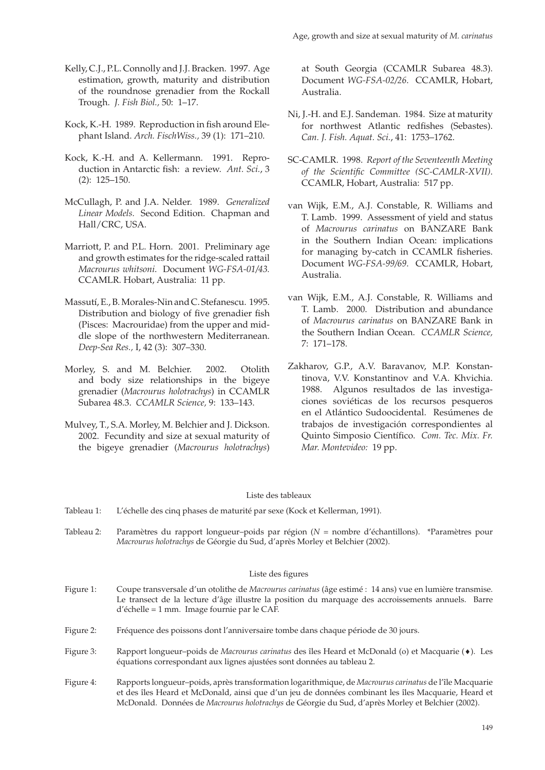- Kelly, C.J., P.L. Connolly and J.J. Bracken. 1997. Age estimation, growth, maturity and distribution of the roundnose grenadier from the Rockall Trough. *J. Fish Biol.,* 50: 1–17.
- Kock, K.-H. 1989. Reproduction in fish around Elephant Island. *Arch. FischWiss.,* 39 (1): 171–210.
- Kock, K.-H. and A. Kellermann. 1991. Reproduction in Antarctic fish: a review. Ant. Sci., 3 (2): 125–150.
- McCullagh, P. and J.A. Nelder. 1989. *Generalized Linear Models.* Second Edition. Chapman and Hall/CRC, USA.
- Marriott, P. and P.L. Horn. 2001. Preliminary age and growth estimates for the ridge-scaled rattail *Macrourus whitsoni*. Document *WG-FSA-01/43.* CCAMLR. Hobart, Australia: 11 pp.
- Massutí, E., B. Morales-Nin and C. Stefanescu. 1995. Distribution and biology of five grenadier fish (Pisces: Macrouridae) from the upper and middle slope of the northwestern Mediterranean. *Deep-Sea Res.,* I, 42 (3): 307–330.
- Morley, S. and M. Belchier. 2002. Otolith and body size relationships in the bigeye grenadier (*Macrourus holotrachys*) in CCAMLR Sub area 48.3. *CCAMLR Science,* 9: 133–143.
- Mulvey, T., S.A. Morley, M. Belchier and J. Dickson. 2002. Fecundity and size at sexual maturity of the bigeye grenadier (*Macrourus holotrachys*)

at South Georgia (CCAMLR Subarea 48.3). Document *WG-FSA-02/26*. CCAMLR, Hobart, Australia.

- Ni, J.-H. and E.J. Sandeman. 1984. Size at maturity for northwest Atlantic redfishes (Sebastes). *Can. J. Fish. Aquat. Sci.*, 41: 1753–1762.
- SC-CAMLR. 1998. *Report of the Seventeenth Meeting of the Scientific Committee (SC-CAMLR-XVII).* CCAMLR, Hobart, Australia: 517 pp.
- van Wijk, E.M., A.J. Constable, R. Williams and T. Lamb. 1999. Assessment of yield and status of *Macrourus carinatus* on BANZARE Bank in the Southern Indian Ocean: implications for managing by-catch in CCAMLR fisheries. Document *WG-FSA-99/69*. CCAMLR, Hobart, Australia.
- van Wijk, E.M., A.J. Constable, R. Williams and T. Lamb. 2000. Distribution and abundance of *Macrourus carinatus* on BANZARE Bank in the Southern Indian Ocean. *CCAMLR Science,* 7: 171–178.
- Zakharov, G.P., A.V. Baravanov, M.P. Konstantinova, V.V. Konstantinov and V.A. Khvichia. 1988. Algunos resultados de las investigaciones soviéticas de los recursos pesqueros en el Atlántico Sudoocidental. Resúmenes de trabajos de investigación correspondientes al Quinto Simposio Científico. *Com. Tec. Mix. Fr. Mar. Montevideo:* 19 pp.

## Liste des tableaux

- Tableau 1: L'échelle des cinq phases de maturité par sexe (Kock et Kellerman, 1991).
- Tableau 2: Paramètres du rapport longueur–poids par région (*N* = nombre d'échantillons). \*Paramètres pour *Macrourus holotrachys* de Géorgie du Sud, d'après Morley et Belchier (2002).

#### Liste des figures

- Figure 1: Coupe transversale d'un otolithe de *Macrourus carinatus* (âge estimé : 14 ans) vue en lumière transmise. Le transect de la lecture d'âge illustre la position du marquage des accroissements annuels. Barre d'échelle = 1 mm. Image fournie par le CAF.
- Figure 2: Fréquence des poissons dont l'anniversaire tombe dans chaque période de 30 jours.
- Figure 3: Rapport longueur–poids de *Macrourus carinatus* des îles Heard et McDonald (ο) et Macquarie (♦). Les équations correspondant aux lignes ajustées sont données au tableau 2.
- Figure 4: Rapports longueur–poids, après transformation logarithmique, de *Macrourus carinatus* de l'île Macquarie et des îles Heard et McDonald, ainsi que d'un jeu de données combinant les îles Macquarie, Heard et McDonald. Données de *Macrourus holotrachys* de Géorgie du Sud, d'après Morley et Belchier (2002).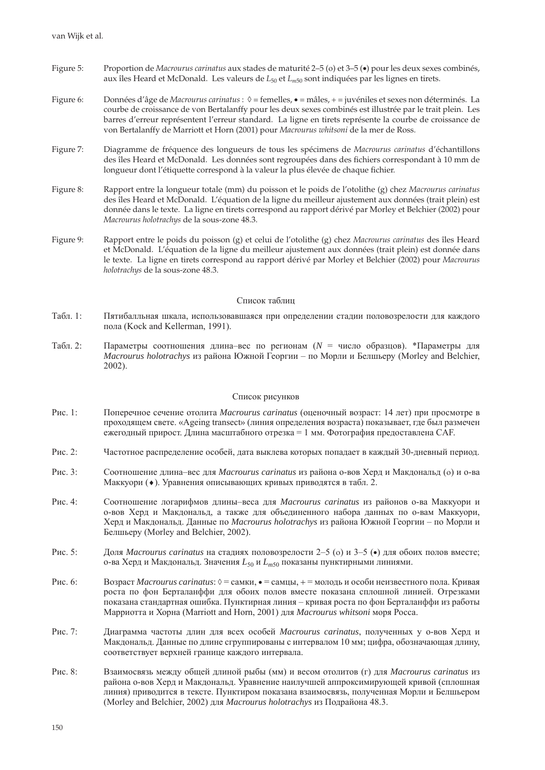- Figure 5: Proportion de *Macrourus carinatus* aux stades de maturité 2–5 (ο) et 3–5 (•) pour les deux sexes combinés, aux îles Heard et McDonald. Les valeurs de *L*50 et *Lm*50 sont indiquées par les lignes en tirets.
- Figure 6: Données d'âge de *Macrourus carinatus* : ◊ = femelles, = mâles, + = juvéniles et sexes non déterminés. La courbe de croissance de von Bertalanffy pour les deux sexes combinés est illustrée par le trait plein. Les barres d'erreur représentent l'erreur standard. La ligne en tirets représente la courbe de croissance de von Bertalanffy de Marriott et Horn (2001) pour *Macrourus whitsoni* de la mer de Ross.
- Figure 7: Diagramme de fréquence des longueurs de tous les spécimens de *Macrourus carinatus* d'échantillons des îles Heard et McDonald. Les données sont regroupées dans des fichiers correspondant à 10 mm de longueur dont l'étiquette correspond à la valeur la plus élevée de chaque fichier.
- Figure 8: Rapport entre la longueur totale (mm) du poisson et le poids de l'otolithe (g) chez *Macrourus carinatus* des îles Heard et McDonald. L'équation de la ligne du meilleur ajustement aux données (trait plein) est donnée dans le texte. La ligne en tirets correspond au rapport dérivé par Morley et Belchier (2002) pour *Macrourus holotrachys* de la sous-zone 48.3.
- Figure 9: Rapport entre le poids du poisson (g) et celui de l'otolithe (g) chez *Macrourus carinatus* des îles Heard et McDonald. L'équation de la ligne du meilleur ajustement aux données (trait plein) est donnée dans le texte. La ligne en tirets correspond au rapport dérivé par Morley et Belchier (2002) pour *Macrourus holotrachys* de la sous-zone 48.3.

#### Список таблиц

- Табл. 1: Пятибалльная шкала, использовавшаяся при определении стадии половозрелости для каждого пола (Kock and Kellerman, 1991).
- Табл. 2: Параметры соотношения длина–вес по регионам (*N* = число образцов). \*Параметры для *Macrourus holotrachys* из района Южной Георгии – по Морли и Белшьеру (Morley and Belchier, 2002).

## Список рисунков

- Рис. 1: Поперечное сечение отолита *Macrourus carinatus* (оценочный возраст: 14 лет) при просмотре в проходящем свете. «Ageing transect» (линия определения возраста) показывает, где был размечен ежегодный прирост. Длина масштабного отрезка = 1 мм. Фотография предоставлена CAF.
- Рис. 2: Частотное распределение особей, дата выклева которых попадает в каждый 30-дневный период.
- Рис. 3: Соотношение длина–вес для *Macrourus carinatus* из района о-вов Херд и Макдональд (ο) и о-ва Маккуори (♦). Уравнения описывающих кривых приводятся в табл. 2.
- Рис. 4: Соотношение логарифмов длины–веса для *Macrourus carinatus* из районов о-ва Маккуори и о-вов Херд и Макдональд, а также для объединенного набора данных по о-вам Маккуори, Херд и Макдональд. Данные по *Macrourus holotrachys* из района Южной Георгии – по Морли и Белшьеру (Morley and Belchier, 2002).
- Рис. 5: Доля *Macrourus carinatus* на стадиях половозрелости 2–5 (ο) и 3–5 (•) для обоих полов вместе; о-ва Херд и Макдональд. Значения *L*<sup>50</sup> и *Lm*<sup>50</sup> показаны пунктирными линиями.
- Рис. 6: Возраст *Macrourus carinatus*: ◊ = самки, = самцы, + = молодь и особи неизвестного пола. Кривая роста по фон Берталанффи для обоих полов вместе показана сплошной линией. Отрезками показана стандартная ошибка. Пунктирная линия – кривая роста по фон Берталанффи из работы Марриотта и Хорна (Marriott and Horn, 2001) для *Macrourus whitsoni* моря Росса.
- Рис. 7: Диаграмма частоты длин для всех особей *Macrourus carinatus*, полученных у о-вов Херд и Макдональд. Данные по длине сгруппированы с интервалом 10 мм; цифра, обозначающая длину, соответствует верхней границе каждого интервала.
- Рис. 8: Взаимосвязь между общей длиной рыбы (мм) и весом отолитов (г) для *Macrourus carinatus* из района о-вов Херд и Макдональд. Уравнение наилучшей аппроксимирующей кривой (сплошная линия) приводится в тексте. Пунктиром показана взаимосвязь, полученная Морли и Белшьером (Morley and Belchier, 2002) для *Macrourus holotrachys* из Подрайона 48.3.